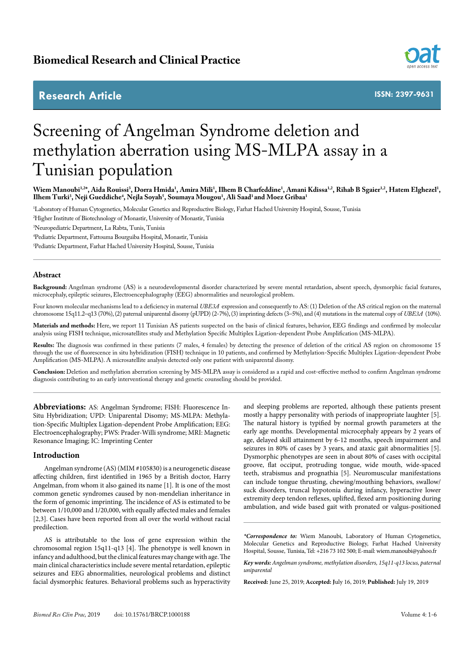# **Research Article**



**ISSN: 2397-9631**

# Screening of Angelman Syndrome deletion and methylation aberration using MS-MLPA assay in a Tunisian population

Wiem Manoubi<sup>1,2\*</sup>, Aida Rouissi<sup>3</sup>, Dorra Hmida<sup>1</sup>, Amira Mili<sup>1</sup>, Ilhem B Charfeddine<sup>1</sup>, Amani Kdissa<sup>1,2</sup>, Rihab B Sgaier<sup>1,2</sup>, Hatem Elghezel<sup>1</sup>, **Ilhem Turki3 , Neji Gueddiche4 , Nejla Soyah5 , Soumaya Mougou1 , Ali Saad1 and Moez Gribaa1**

1 Laboratory of Human Cytogenetics, Molecular Genetics and Reproductive Biology, Farhat Hached University Hospital, Sousse, Tunisia

2 Higher Institute of Biotechnology of Monastir, University of Monastir, Tunisia

3 Neuropediatric Department, La Rabta, Tunis, Tunisia

4 Pediatric Department, Fattouma Bourguiba Hospital, Monastir, Tunisia

5 Pediatric Department, Farhat Hached University Hospital, Sousse, Tunisia

# **Abstract**

**Background:** Angelman syndrome (AS) is a neurodevelopmental disorder characterized by severe mental retardation, absent speech, dysmorphic facial features, microcephaly, epileptic seizures, Electroencephalography (EEG) abnormalities and neurological problem.

Four known molecular mechanisms lead to a deficiency in maternal *UBE3A* expression and consequently to AS: (1) Deletion of the AS critical region on the maternal chromosome 15q11.2–q13 (70%), (2) paternal uniparental disomy (pUPD) (2-7%), (3) imprinting defects (3–5%), and (4) mutations in the maternal copy of *UBE3A* (10%).

**Materials and methods:** Here, we report 11 Tunisian AS patients suspected on the basis of clinical features, behavior, EEG findings and confirmed by molecular analysis using FISH technique, microsatellites study and Methylation Specific Multiplex Ligation-dependent Probe Amplification (MS-MLPA).

Results: The diagnosis was confirmed in these patients (7 males, 4 females) by detecting the presence of deletion of the critical AS region on chromosome 15 through the use of fluorescence in situ hybridization (FISH) technique in 10 patients, and confirmed by Methylation-Specific Multiplex Ligation-dependent Probe Amplification (MS-MLPA). A microsatellite analysis detected only one patient with uniparental disomy.

**Conclusion:** Deletion and methylation aberration screening by MS-MLPA assay is considered as a rapid and cost-effective method to confirm Angelman syndrome diagnosis contributing to an early interventional therapy and genetic counseling should be provided.

**Abbreviations:** AS: Angelman Syndrome; FISH: Fluorescence In-Situ Hybridization; UPD: Uniparental Disomy; MS-MLPA: Methylation-Specific Multiplex Ligation-dependent Probe Amplification; EEG: Electroencephalography; PWS: Prader-Willi syndrome; MRI: Magnetic Resonance Imaging; IC: Imprinting Center

# **Introduction**

Angelman syndrome (AS) (MIM #105830) is a neurogenetic disease affecting children, first identified in 1965 by a British doctor, Harry Angelman, from whom it also gained its name [1]. It is one of the most common genetic syndromes caused by non-mendelian inheritance in the form of genomic imprinting. The incidence of AS is estimated to be between 1/10,000 and 1/20,000, with equally affected males and females [2,3]. Cases have been reported from all over the world without racial predilection.

AS is attributable to the loss of gene expression within the chromosomal region 15q11-q13 [4]. The phenotype is well known in infancy and adulthood, but the clinical features may change with age. The main clinical characteristics include severe mental retardation, epileptic seizures and EEG abnormalities, neurological problems and distinct facial dysmorphic features. Behavioral problems such as hyperactivity and sleeping problems are reported, although these patients present mostly a happy personality with periods of inappropriate laughter [5]. The natural history is typified by normal growth parameters at the early age months. Developmental microcephaly appears by 2 years of age, delayed skill attainment by 6-12 months, speech impairment and seizures in 80% of cases by 3 years, and ataxic gait abnormalities [5]. Dysmorphic phenotypes are seen in about 80% of cases with occipital groove, flat occiput, protruding tongue, wide mouth, wide-spaced teeth, strabismus and prognathia [5]. Neuromuscular manifestations can include tongue thrusting, chewing/mouthing behaviors, swallow/ suck disorders, truncal hypotonia during infancy, hyperactive lower extremity deep tendon reflexes, uplifted, flexed arm positioning during ambulation, and wide based gait with pronated or valgus-positioned

*\*Correspondence to:* Wiem Manoubi, Laboratory of Human Cytogenetics, Molecular Genetics and Reproductive Biology, Farhat Hached University Hospital, Sousse, Tunisia, Tel: +216 73 102 500; E-mail: wiem.manoubi@yahoo.fr

*Key words: Angelman syndrome, methylation disorders, 15q11-q13 locus, paternal uniparental*

**Received:** June 25, 2019; **Accepted: J**uly 16, 2019; **Published:** July 19, 2019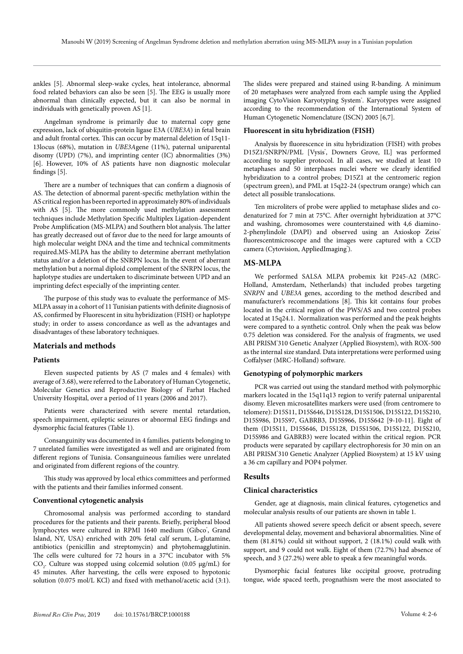ankles [5]. Abnormal sleep-wake cycles, heat intolerance, abnormal food related behaviors can also be seen [5]. The EEG is usually more abnormal than clinically expected, but it can also be normal in individuals with genetically proven AS [1].

Angelman syndrome is primarily due to maternal copy gene expression, lack of ubiquitin-protein ligase E3A (*UBE3A*) in fetal brain and adult frontal cortex. This can occur by maternal deletion of 15q11- 13locus (68%), mutation in *UBE3A*gene (11%), paternal uniparental disomy (UPD) (7%), and imprinting center (IC) abnormalities (3%) [6]. However, 10% of AS patients have non diagnostic molecular findings [5].

There are a number of techniques that can confirm a diagnosis of AS. The detection of abnormal parent-specific methylation within the AS critical region has been reported in approximately 80% of individuals with AS [5]. The more commonly used methylation assessment techniques include Methylation Specific Multiplex Ligation-dependent Probe Amplification (MS-MLPA) and Southern blot analysis. The latter has greatly decreased out of favor due to the need for large amounts of high molecular weight DNA and the time and technical commitments required.MS-MLPA has the ability to determine aberrant methylation status and/or a deletion of the SNRPN locus. In the event of aberrant methylation but a normal diploid complement of the SNRPN locus, the haplotype studies are undertaken to discriminate between UPD and an imprinting defect especially of the imprinting center.

The purpose of this study was to evaluate the performance of MS-MLPA assay in a cohort of 11 Tunisian patients with definite diagnosis of AS, confirmed by Fluorescent in situ hybridization (FISH) or haplotype study; in order to assess concordance as well as the advantages and disadvantages of these laboratory techniques.

#### **Materials and methods**

### **Patients**

Eleven suspected patients by AS (7 males and 4 females) with average of 3.68), were referred to the Laboratory of Human Cytogenetic, Molecular Genetics and Reproductive Biology of Farhat Hached University Hospital, over a period of 11 years (2006 and 2017).

Patients were characterized with severe mental retardation, speech impairment, epileptic seizures or abnormal EEG findings and dysmorphic facial features (Table 1).

Consanguinity was documented in 4 families. patients belonging to 7 unrelated families were investigated as well and are originated from different regions of Tunisia. Consanguineous families were unrelated and originated from different regions of the country.

This study was approved by local ethics committees and performed with the patients and their families informed consent.

#### **Conventional cytogenetic analysis**

Chromosomal analysis was performed according to standard procedures for the patients and their parents. Briefly, peripheral blood lymphocytes were cultured in RPMI 1640 medium (Gibco<sup>\*</sup>, Grand Island, NY, USA) enriched with 20% fetal calf serum, L-glutamine, antibiotics (penicillin and streptomycin) and phytohemagglutinin. The cells were cultured for 72 hours in a 37°C incubator with 5%  $CO<sub>2</sub>$ . Culture was stopped using colcemid solution (0.05  $\mu$ g/mL) for 45 minutes. After harvesting, the cells were exposed to hypotonic solution (0.075 mol/L KCl) and fixed with methanol/acetic acid (3:1). The slides were prepared and stained using R-banding. A minimum of 20 metaphases were analyzed from each sample using the Applied imaging CytoVision Karyotyping System<sup>\*</sup>. Karyotypes were assigned according to the recommendation of the International System of Human Cytogenetic Nomenclature (ISCN) 2005 [6,7].

#### **Fluorescent in situ hybridization (FISH)**

Analysis by fluorescence in situ hybridization (FISH) with probes D15Z1/SNRPN/PML [Vysis', Downers Grove, IL] was performed according to supplier protocol. In all cases, we studied at least 10 metaphases and 50 interphases nuclei where we clearly identified hybridization to a control probes; D15Z1 at the centromeric region (spectrum green), and PML at 15q22-24 (spectrum orange) which can detect all possible translocations.

Ten microliters of probe were applied to metaphase slides and codenaturized for 7 min at 75°C. After overnight hybridization at 37°C and washing, chromosomes were counterstained with 4,6 diamino-2-phenylindole (DAPI) and observed using an Axioskop Zeiss<sup>®</sup> fluorescentmicroscope and the images were captured with a CCD camera (Cytovision, AppliedImaging<sup>®</sup>).

#### **MS-MLPA**

We performed SALSA MLPA probemix kit P245-A2 (MRC-Holland, Amsterdam, Netherlands) that included probes targeting *SNRPN* and *UBE3A* genes, according to the method described and manufacturer's recommendations [8]. This kit contains four probes located in the critical region of the PWS/AS and two control probes located at 15q24.1. Normalization was performed and the peak heights were compared to a synthetic control. Only when the peak was below 0.75 deletion was considered. For the analysis of fragments, we used ABI PRISM'310 Genetic Analyzer (Applied Biosystem), with ROX-500 as the internal size standard. Data interpretations were performed using Coffalyser (MRC-Holland) software.

#### **Genotyping of polymorphic markers**

PCR was carried out using the standard method with polymorphic markers located in the 15q11q13 region to verify paternal uniparental disomy. Eleven microsatellites markers were used (from centromere to telomere): D15S11, D15S646, D15S128, D15S1506, D15S122, D15S210, D15S986, D15S97, GABRB3, D15S966, D15S642 [9-10-11]. Eight of them (D15S11, D15S646, D15S128, D15S1506, D15S122, D15S210, D15S986 and GABRB3) were located within the critical region. PCR products were separated by capillary electrophoresis for 30 min on an ABI PRISM'310 Genetic Analyzer (Applied Biosystem) at 15 kV using a 36 cm capillary and POP4 polymer.

# **Results**

# **Clinical characteristics**

Gender, age at diagnosis, main clinical features, cytogenetics and molecular analysis results of our patients are shown in table 1.

All patients showed severe speech deficit or absent speech, severe developmental delay, movement and behavioral abnormalities. Nine of them (81.81%) could sit without support, 2 (18.1%) could walk with support, and 9 could not walk. Eight of them (72.7%) had absence of speech, and 3 (27.2%) were able to speak a few meaningful words.

Dysmorphic facial features like occipital groove, protruding tongue, wide spaced teeth, prognathism were the most associated to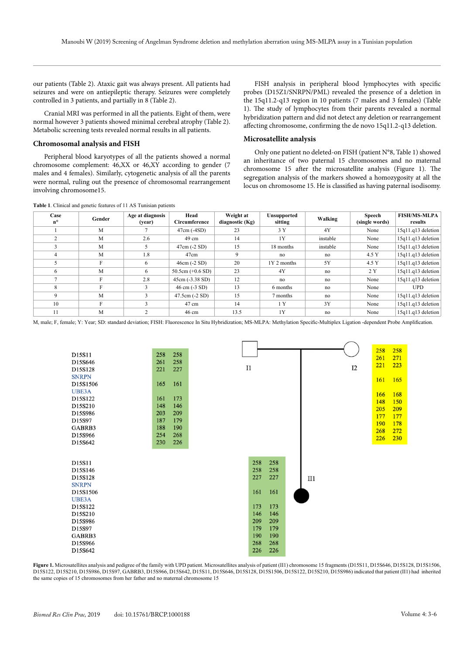our patients (Table 2). Ataxic gait was always present. All patients had seizures and were on antiepileptic therapy. Seizures were completely controlled in 3 patients, and partially in 8 (Table 2).

Cranial MRI was performed in all the patients. Eight of them, were normal however 3 patients showed minimal cerebral atrophy (Table 2). Metabolic screening tests revealed normal results in all patients.

#### **Chromosomal analysis and FISH**

**Table 1**. Clinical and genetic features of 11 AS Tunisian patients

Peripheral blood karyotypes of all the patients showed a normal chromosome complement: 46,XX or 46,XY according to gender (7 males and 4 females). Similarly, cytogenetic analysis of all the parents were normal, ruling out the presence of chromosomal rearrangement involving chromosome15.

FISH analysis in peripheral blood lymphocytes with specific probes (D15Z1/SNRPN/PML) revealed the presence of a deletion in the 15q11.2-q13 region in 10 patients (7 males and 3 females) (Table 1). The study of lymphocytes from their parents revealed a normal hybridization pattern and did not detect any deletion or rearrangement affecting chromosome, confirming the de novo 15q11.2-q13 deletion.

#### **Microsatellite analysis**

Only one patient no deleted-on FISH (patient N°8, Table 1) showed an inheritance of two paternal 15 chromosomes and no maternal chromosome 15 after the microsatellite analysis (Figure 1). The segregation analysis of the markers showed a homozygosity at all the locus on chromosome 15. He is classified as having paternal isodisomy.

| Case<br>$n^{\circ}$ | Gender | Age at diagnosis<br>(vear) | Head<br>Circumference           | Weight at<br>diagnostic $(Kg)$ | <b>Unsupported</b><br>sitting | Walking  | <b>Speech</b><br>(single words) | <b>FISH/MS-MLPA</b><br>results |
|---------------------|--------|----------------------------|---------------------------------|--------------------------------|-------------------------------|----------|---------------------------------|--------------------------------|
|                     | M      |                            | $47cm (-4SD)$                   | 23                             | 3Y                            | 4Y       | None                            | $15q11.q13$ deletion           |
|                     | M      | 2.6                        | 49 cm                           | 14                             | 1Y                            | instable | None                            | $15q11.q13$ deletion           |
|                     | M      | 5                          | $47cm (-2 SD)$                  | 15                             | 18 months                     | instable | None                            | $15q11.q13$ deletion           |
|                     | M      | 1.8                        | 47cm                            |                                | no                            | no       | 4.5 Y                           | $15q11.q13$ deletion           |
|                     | F      | 6                          | $46cm (-2 SD)$                  | 20                             | 1Y 2 months                   | 5Y       | 4.5 Y                           | 15q11.q13 deletion             |
| 6                   | M      | 6                          | 50.5cm $(+0.6$ SD)              | 23                             | 4Y                            | no       | 2 Y                             | 15q11.q13 deletion             |
|                     | F      | 2.8                        | $45cm (-3.38 SD)$               | 12                             | no                            | no       | None                            | 15q11.q13 deletion             |
|                     | F      | 3                          | $46 \text{ cm} (-3 \text{ SD})$ | 13                             | 6 months                      | no       | None                            | <b>UPD</b>                     |
|                     | M      | $\mathbf{3}$               | $47.5cm(-2 SD)$                 | 15                             | 7 months                      | no       | None                            | $15q11.q13$ deletion           |
| 10                  | F      | 3                          | $47 \text{ cm}$                 | 14                             | 1Y                            | 3Y       | None                            | 15q11.q13 deletion             |
| 11                  | M      |                            | $46 \text{ cm}$                 | 13.5                           | 1Y                            | no       | None                            | 15q11.q13 deletion             |

M, male; F, female; Y: Year; SD: standard deviation; FISH: Fluorescence In Situ Hybridization; MS-MLPA: Methylation Specific-Multiplex Ligation -dependent Probe Amplification.

| D15S11       | 258 | 258 |    |     |     |     |    | 258 | 258 |
|--------------|-----|-----|----|-----|-----|-----|----|-----|-----|
| D15S646      | 261 | 258 |    |     |     |     |    | 261 | 271 |
| D15S128      | 221 | 227 | I1 |     |     |     | I2 | 221 | 223 |
| <b>SNRPN</b> |     |     |    |     |     |     |    |     |     |
| D15S1506     | 165 | 161 |    |     |     |     |    | 161 | 165 |
| UBE3A        |     |     |    |     |     |     |    |     |     |
| D15S122      | 161 | 173 |    |     |     |     |    | 166 | 168 |
| D15S210      | 148 | 146 |    |     |     |     |    | 148 | 150 |
|              | 203 | 209 |    |     |     |     |    | 205 | 209 |
| D15S986      |     |     |    |     |     |     |    | 177 | 177 |
| D15S97       | 187 | 179 |    |     |     |     |    | 190 | 178 |
| GABRB3       | 188 | 190 |    |     |     |     |    | 268 | 272 |
| D15S966      | 254 | 268 |    |     |     |     |    | 226 | 230 |
| D15S642      | 230 | 226 |    |     |     |     |    |     |     |
|              |     |     |    |     |     |     |    |     |     |
| D15S11       |     |     |    | 258 | 258 |     |    |     |     |
|              |     |     |    | 258 | 258 |     |    |     |     |
| D15S146      |     |     |    |     |     |     |    |     |     |
| D15S128      |     |     |    | 227 | 227 | II1 |    |     |     |
| <b>SNRPN</b> |     |     |    |     |     |     |    |     |     |
| D15S1506     |     |     |    | 161 | 161 |     |    |     |     |
| UBE3A        |     |     |    |     |     |     |    |     |     |
| D15S122      |     |     |    | 173 | 173 |     |    |     |     |
| D15S210      |     |     |    | 146 | 146 |     |    |     |     |
| D15S986      |     |     |    | 209 | 209 |     |    |     |     |
| D15S97       |     |     |    | 179 | 179 |     |    |     |     |
| GABRB3       |     |     |    | 190 | 190 |     |    |     |     |
| D15S966      |     |     |    | 268 | 268 |     |    |     |     |
| D15S642      |     |     |    | 226 | 226 |     |    |     |     |
|              |     |     |    |     |     |     |    |     |     |

**Figure 1.** Microsatellites analysis and pedigree of the family with UPD patient. Microsatellites analysis of patient (II1) chromosome 15 fragments (D15S11, D15S646, D15S128, D15S1506, D15S122, D15S210, D15S986, D15S97, GABRB3, D15S966, D15S642, D15S11, D15S646, D15S128, D15S1506, D15S122, D15S210, D15S986) indicated that patient (II1) had inherited the same copies of 15 chromosomes from her father and no maternal chromosome 15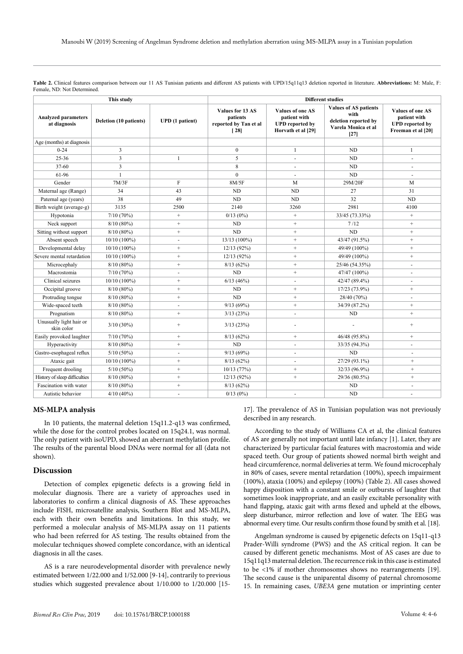**Table 2.** Clinical features comparison between our 11 AS Tunisian patients and different AS patients with UPD/15q11q13 deletion reported in literature. **Abbreviations:** M: Male, F: Female, ND: Not Determined.

|                                            | This study             |                        | <b>Different studies</b>                                                    |                                                                                         |                                                                                               |                                                                                         |  |  |  |
|--------------------------------------------|------------------------|------------------------|-----------------------------------------------------------------------------|-----------------------------------------------------------------------------------------|-----------------------------------------------------------------------------------------------|-----------------------------------------------------------------------------------------|--|--|--|
| <b>Analyzed parameters</b><br>at diagnosis | Deletion (10 patients) | <b>UPD</b> (1 patient) | Values for 13 AS<br>patients<br>reported by Tan et al<br>$\lceil 28 \rceil$ | <b>Values of one AS</b><br>patient with<br><b>UPD</b> reported by<br>Horvath et al [29] | <b>Values of AS patients</b><br>with<br>deletion reported by<br>Varela Monica et al<br>$[27]$ | <b>Values of one AS</b><br>patient with<br><b>UPD</b> reported by<br>Freeman et al [20] |  |  |  |
| Age (months) at diagnosis                  |                        |                        |                                                                             |                                                                                         |                                                                                               |                                                                                         |  |  |  |
| $0 - 24$                                   | 3                      |                        | $\mathbf{0}$                                                                | $\mathbf{1}$                                                                            | ND                                                                                            | $\mathbf{1}$                                                                            |  |  |  |
| $25 - 36$                                  | 3                      | $\mathbf{1}$           | 5                                                                           | $\blacksquare$                                                                          | ND                                                                                            | ÷.                                                                                      |  |  |  |
| $37 - 60$                                  | 3                      |                        | 8                                                                           | ÷.                                                                                      | ND                                                                                            | ÷.                                                                                      |  |  |  |
| 61-96                                      | $\mathbf{1}$           |                        | $\Omega$                                                                    | $\blacksquare$                                                                          | ND                                                                                            | ÷                                                                                       |  |  |  |
| Gender                                     | 7M/3F                  | F                      | 8M/5F                                                                       | M                                                                                       | 29M/20F                                                                                       | M                                                                                       |  |  |  |
| Maternal age (Range)                       | 34                     | 43                     | <b>ND</b>                                                                   | <b>ND</b>                                                                               | 27                                                                                            | 31                                                                                      |  |  |  |
| Paternal age (years)                       | 38                     | 49                     | <b>ND</b>                                                                   | <b>ND</b>                                                                               | 32                                                                                            | <b>ND</b>                                                                               |  |  |  |
| Birth weight (average-g)                   | 3135                   | 2500                   | 2140                                                                        | 3260                                                                                    | 2981                                                                                          | 4100                                                                                    |  |  |  |
| Hypotonia                                  | 7/10(70%)              | $+$                    | 0/13(0%)                                                                    | $+$                                                                                     | 33/45 (73.33%)                                                                                | $+$                                                                                     |  |  |  |
| Neck support                               | 8/10(80%)              | $+$                    | <b>ND</b>                                                                   | $^{+}$                                                                                  | 7/12                                                                                          | $+$                                                                                     |  |  |  |
| Sitting without support                    | 8/10(80%)              | $+$                    | N <sub>D</sub>                                                              | $+$                                                                                     | N <sub>D</sub>                                                                                | $+$                                                                                     |  |  |  |
| Absent speech                              | $10/10(100\%)$         | ä,                     | 13/13 (100%)                                                                | $+$                                                                                     | 43/47 (91.5%)                                                                                 | $+$                                                                                     |  |  |  |
| Developmental delay                        | $10/10(100\%)$         | $+$                    | 12/13(92%)                                                                  | $+$                                                                                     | 49/49 (100%)                                                                                  | $+$                                                                                     |  |  |  |
| Severe mental retardation                  | $10/10(100\%)$         | $\! +$                 | 12/13(92%)                                                                  | $+$                                                                                     | 49/49 (100%)                                                                                  | $+$                                                                                     |  |  |  |
| Microcephaly                               | 8/10(80%)              | $\! +$                 | 8/13(62%)                                                                   | $+$                                                                                     | 25/46 (54.35%)                                                                                |                                                                                         |  |  |  |
| Macrostomia                                | 7/10(70%)              |                        | ND                                                                          | $+$                                                                                     | 47/47 (100%)                                                                                  |                                                                                         |  |  |  |
| Clinical seizures                          | $10/10(100\%)$         | $+$                    | 6/13(46%)                                                                   |                                                                                         | 42/47 (89.4%)                                                                                 |                                                                                         |  |  |  |
| Occipital groove                           | 8/10(80%)              | $+$                    | <b>ND</b>                                                                   | $+$                                                                                     | 17/23 (73.9%)                                                                                 | $+$                                                                                     |  |  |  |
| Protruding tongue                          | 8/10(80%)              | $\! +$                 | ND                                                                          | $+$                                                                                     | 28/40 (70%)                                                                                   |                                                                                         |  |  |  |
| Wide-spaced teeth                          | $8/10(80\%)$           | $\blacksquare$         | 9/13(69%)                                                                   | $^{+}$                                                                                  | 34/39 (87.2%)                                                                                 | $+$                                                                                     |  |  |  |
| Prognatism                                 | $8/10(80\%)$           | $^{+}$                 | 3/13(23%)                                                                   | ä,                                                                                      | ND                                                                                            | $+$                                                                                     |  |  |  |
| Unusually light hair or<br>skin color      | $3/10(30\%)$           | $+$                    | 3/13(23%)                                                                   |                                                                                         | ÷,                                                                                            | $^{+}$                                                                                  |  |  |  |
| Easily provoked laughter                   | 7/10(70%)              | $+$                    | 8/13(62%)                                                                   | $\! +$                                                                                  | 46/48 (95.8%)                                                                                 | $\qquad \qquad +$                                                                       |  |  |  |
| Hyperactivity                              | 8/10(80%)              | $+$                    | <b>ND</b>                                                                   | ä,                                                                                      | 33/35 (94.3%)                                                                                 | ÷,                                                                                      |  |  |  |
| Gastro-esophageal reflux                   | $5/10(50\%)$           | $\sim$                 | 9/13(69%)                                                                   | ä,                                                                                      | <b>ND</b>                                                                                     | $\overline{\phantom{a}}$                                                                |  |  |  |
| Ataxic gait                                | $10/10(100\%)$         | $+$                    | 8/13(62%)                                                                   | ä,                                                                                      | 27/29 (93.1%)                                                                                 | $+$                                                                                     |  |  |  |
| Frequent drooling                          | $5/10(50\%)$           | $+$                    | 10/13 (77%)                                                                 | $+$                                                                                     | 32/33 (96.9%)                                                                                 | $+$                                                                                     |  |  |  |
| History of sleep difficulties              | 8/10(80%)              | $+$                    | 12/13(92%)                                                                  | $+$                                                                                     | 29/36 (80.5%)                                                                                 | $+$                                                                                     |  |  |  |
| Fascination with water                     | 8/10(80%)              | $^+$                   | 8/13(62%)                                                                   |                                                                                         | ND                                                                                            | $\overline{a}$                                                                          |  |  |  |
| Autistic behavior                          | $4/10(40\%)$           | $\sim$                 | 0/13(0%)                                                                    | $\overline{a}$                                                                          | ND                                                                                            | ÷.                                                                                      |  |  |  |

#### **MS-MLPA analysis**

In 10 patients, the maternal deletion 15q11.2-q13 was confirmed, while the dose for the control probes located on 15q24.1, was normal. The only patient with isoUPD, showed an aberrant methylation profile. The results of the parental blood DNAs were normal for all (data not shown).

# **Discussion**

Detection of complex epigenetic defects is a growing field in molecular diagnosis. There are a variety of approaches used in laboratories to confirm a clinical diagnosis of AS. These approaches include FISH, microsatellite analysis, Southern Blot and MS-MLPA, each with their own benefits and limitations. In this study, we performed a molecular analysis of MS-MLPA assay on 11 patients who had been referred for AS testing. The results obtained from the molecular techniques showed complete concordance, with an identical diagnosis in all the cases.

AS is a rare neurodevelopmental disorder with prevalence newly estimated between 1/22.000 and 1/52.000 [9-14], contrarily to previous studies which suggested prevalence about 1/10.000 to 1/20.000 [1517]. The prevalence of AS in Tunisian population was not previously described in any research.

According to the study of Williams CA et al, the clinical features of AS are generally not important until late infancy [1]. Later, they are characterized by particular facial features with macrostomia and wide spaced teeth. Our group of patients showed normal birth weight and head circumference, normal deliveries at term. We found microcephaly in 80% of cases, severe mental retardation (100%), speech impairment (100%), ataxia (100%) and epilepsy (100%) (Table 2). All cases showed happy disposition with a constant smile or outbursts of laughter that sometimes look inappropriate, and an easily excitable personality with hand flapping, ataxic gait with arms flexed and upheld at the elbows, sleep disturbance, mirror reflection and love of water. The EEG was abnormal every time. Our results confirm those found by smith et al. [18].

Angelman syndrome is caused by epigenetic defects on 15q11-q13 Prader-Willi syndrome (PWS) and the AS critical region. It can be caused by different genetic mechanisms. Most of AS cases are due to 15q11q13 maternal deletion. The recurrence risk in this case is estimated to be <1% if mother chromosomes shows no rearrangements [19]. The second cause is the uniparental disomy of paternal chromosome 15. In remaining cases, *UBE3A* gene mutation or imprinting center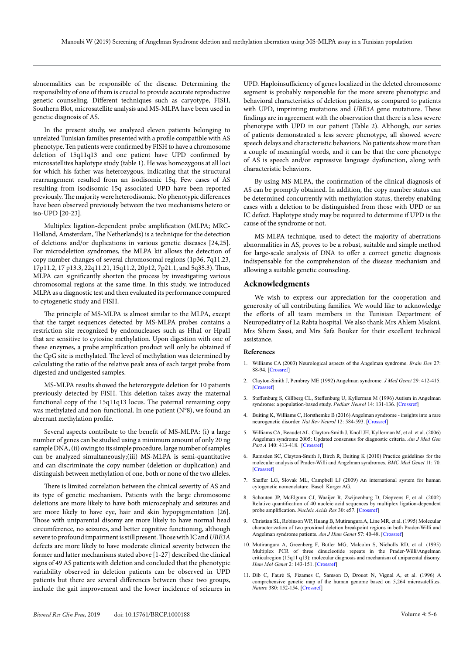abnormalities can be responsible of the disease. Determining the responsibility of one of them is crucial to provide accurate reproductive genetic counseling. Different techniques such as caryotype, FISH, Southern Blot, microsatellite analysis and MS-MLPA have been used in genetic diagnosis of AS.

In the present study, we analyzed eleven patients belonging to unrelated Tunisian families presented with a profile compatible with AS phenotype. Ten patients were confirmed by FISH to have a chromosome deletion of 15q11q13 and one patient have UPD confirmed by microsatellites haplotype study (table 1). He was homozygous at all loci for which his father was heterozygous, indicating that the structural rearrangement resulted from an isodisomic 15q. Few cases of AS resulting from isodisomic 15q associated UPD have been reported previously. The majority were heterodisomic. No phenotypic differences have been observed previously between the two mechanisms hetero or iso-UPD [20-23].

Multiplex ligation-dependent probe amplification (MLPA; MRC-Holland, Amsterdam, The Netherlands) is a technique for the detection of deletions and/or duplications in various genetic diseases [24,25]. For microdeletion syndromes, the MLPA kit allows the detection of copy number changes of several chromosomal regions (1p36, 7q11.23, 17p11.2, 17 p13.3, 22q11.21, 15q11.2, 20p12, 7p21.1, and 5q35.3). Thus, MLPA can significantly shorten the process by investigating various chromosomal regions at the same time. In this study, we introduced MLPA as a diagnostic test and then evaluated its performance compared to cytogenetic study and FISH.

The principle of MS-MLPA is almost similar to the MLPA, except that the target sequences detected by MS-MLPA probes contains a restriction site recognized by endonucleases such as HhaI or HpaII that are sensitive to cytosine methylation. Upon digestion with one of these enzymes, a probe amplification product will only be obtained if the CpG site is methylated. The level of methylation was determined by calculating the ratio of the relative peak area of each target probe from digested and undigested samples.

MS-MLPA results showed the heterozygote deletion for 10 patients previously detected by FISH. This deletion takes away the maternal functional copy of the 15q11q13 locus. The paternal remaining copy was methylated and non-functional. In one patient (N°8), we found an aberrant methylation profile.

Several aspects contribute to the benefit of MS-MLPA: (i) a large number of genes can be studied using a minimum amount of only 20 ng sample DNA, (ii) owing to its simple procedure, large number of samples can be analyzed simultaneously;(iii) MS-MLPA is semi-quantitative and can discriminate the copy number (deletion or duplication) and distinguish between methylation of one, both or none of the two alleles.

There is limited correlation between the clinical severity of AS and its type of genetic mechanism. Patients with the large chromosome deletions are more likely to have both microcephaly and seizures and are more likely to have eye, hair and skin hypopigmentation [26]. Those with uniparental disomy are more likely to have normal head circumference, no seizures, and better cognitive functioning, although severe to profound impairment is still present. Those with IC and *UBE3A* defects are more likely to have moderate clinical severity between the former and latter mechanisms stated above [1-27] described the clinical signs of 49 AS patients with deletion and concluded that the phenotypic variability observed in deletion patients can be observed in UPD patients but there are several differences between these two groups, include the gait improvement and the lower incidence of seizures in

UPD. Haploinsufficiency of genes localized in the deleted chromosome segment is probably responsible for the more severe phenotypic and behavioral characteristics of deletion patients, as compared to patients with UPD, imprinting mutations and *UBE3A* gene mutations. These findings are in agreement with the observation that there is a less severe phenotype with UPD in our patient (Table 2). Although, our series of patients demonstrated a less severe phenotype, all showed severe speech delays and characteristic behaviors. No patients show more than a couple of meaningful words, and it can be that the core phenotype of AS is speech and/or expressive language dysfunction, along with characteristic behaviors.

By using MS-MLPA, the confirmation of the clinical diagnosis of AS can be promptly obtained. In addition, the copy number status can be determined concurrently with methylation status, thereby enabling cases with a deletion to be distinguished from those with UPD or an IC defect. Haplotype study may be required to determine if UPD is the cause of the syndrome or not.

MS-MLPA technique, used to detect the majority of aberrations abnormalities in AS, proves to be a robust, suitable and simple method for large-scale analysis of DNA to offer a correct genetic diagnosis indispensable for the comprehension of the disease mechanism and allowing a suitable genetic counseling.

# **Acknowledgments**

We wish to express our appreciation for the cooperation and generosity of all contributing families. We would like to acknowledge the efforts of all team members in the Tunisian Department of Neuropediatry of La Rabta hospital. We also thank Mrs Ahlem Msakni, Mrs Sihem Sassi, and Mrs Safa Bouker for their excellent technical assistance.

#### **References**

- 1. Williams CA (2003) Neurological aspects of the Angelman syndrome. *Brain Dev* 27: 88-94. [\[Crossref\]](https://www.ncbi.nlm.nih.gov/pubmed/15668046)
- 2. Clayton-Smith J, Pembrey ME (1992) Angelman syndrome. *J Med Genet* 29: 412-415. [\[Crossref\]](https://www.ncbi.nlm.nih.gov/pmc/articles/PMC1015993/)
- 3. Steffenburg S, Gillberg CL, Steffenburg U, Kyllerman M (1996) Autism in Angelman syndrome: a population-based study. *Pediatr Neurol* 14: 131-136. [\[Crossref\]](https://www.ncbi.nlm.nih.gov/pubmed/8703225)
- 4. Buiting K, Williams C, Horsthemke B (2016) Angelman syndrome insights into a rare neurogenetic disorder. *Nat Rev Neurol* 12: 584-593. [\[Crossref\]](https://www.ncbi.nlm.nih.gov/pubmed/27615419)
- 5. Williams CA, Beaudet AL, Clayton-Smith J, Knoll JH, Kyllerman M, et al. et al. (2006) Angelman syndrome 2005: Updated consensus for diagnostic criteria. *Am J Med Gen Part A* 140: 413-418. [\[Crossref\]](https://www.ncbi.nlm.nih.gov/pubmed/16470747)
- 6. Ramsden SC, Clayton-Smith J, Birch R, Buiting K (2010) Practice guidelines for the molecular analysis of Prader-Willi and Angelman syndromes. *BMC Med Genet* 11: 70. [\[Crossref\]](https://www.ncbi.nlm.nih.gov/pubmed/20459762/)
- 7. Shaffer LG, Slovak ML, Campbell LJ (2009) An international system for human cytogenetic nomenclature. Basel: Karger AG.
- 8. Schouten JP, McElgunn CJ, Waaijer R, Zwijnenburg D, Diepvens F, et al. (2002) Relative quantification of 40 nucleic acid sequences by multiplex ligation-dependent probe amplification. *Nucleic Acids Res* 30: e57. [\[Crossref\]](https://www.ncbi.nlm.nih.gov/pubmed/12060695)
- 9. Christian SL, Robinson WP, Huang B, Mutirangura A, Line MR, et al. (1995) Molecular characterization of two proximal deletion breakpoint regions in both Prader-Willi and Angelman syndrome patients. *Am J Hum Genet* 57: 40-48. [\[Crossref\]](https://www.ncbi.nlm.nih.gov/pubmed/7611294)
- 10. Mutirangura A, Greenberg F, Butler MG, Malcolm S, Nicholls RD, et al. (1995) Multiplex PCR of three dinucleotide repeats in the Prader-Willi/Angelman criticalregion (15q11 q13): molecular diagnosis and mechanism of uniparental disomy. *Hum Mol Genet* 2: 143-151. [\[Crossref\]](https://www.ncbi.nlm.nih.gov/pubmed/8499903)
- 11. Dib C, Fauré S, Fizames C, Samson D, Drouot N, Vignal A, et al. (1996) A comprehensive genetic map of the human genome based on 5,264 microsatellites. *Nature* 380: 152-154. [\[Crossref\]](https://www.ncbi.nlm.nih.gov/pubmed/8600387)